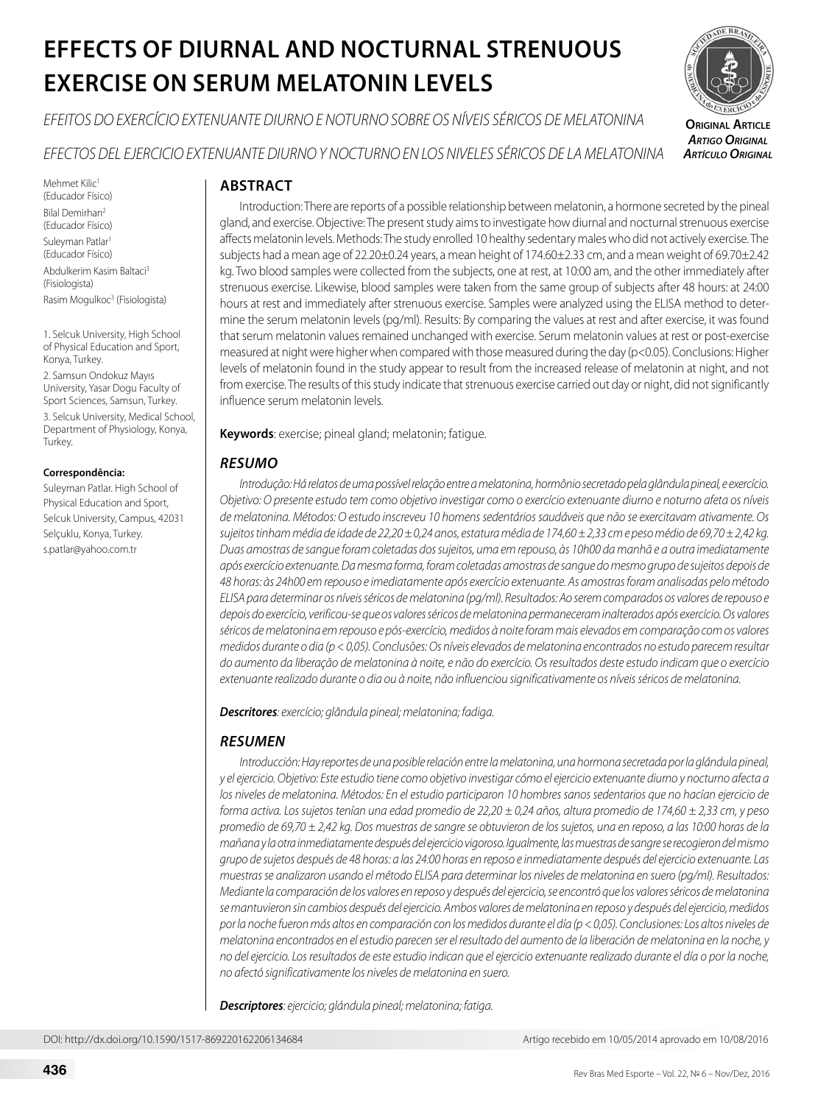# **EFFECTS OF DIURNAL AND NOCTURNAL STRENUOUS EXERCISE ON SERUM MELATONIN LEVELS**

*EFEITOS DO EXERCÍCIO EXTENUANTE DIURNO E NOTURNO SOBRE OS NÍVEIS SÉRICOS DE MELATONINA*



**Original Article** *Artigo Original Artículo Original*

*EFECTOS DEL EJERCICIO EXTENUANTE DIURNO Y NOCTURNO EN LOS NIVELES SÉRICOS DE LA MELATONINA*

Mehmet Kilic<sup>1</sup> (Educador Físico) Bilal Demirhan2 (Educador Físico) Suleyman Patlar<sup>1</sup> (Educador Físico) Abdulkerim Kasim Baltaci3 (Fisiologista) Rasim Mogulkoc<sup>3</sup> (Fisiologista)

1. Selcuk University, High School of Physical Education and Sport, Konya, Turkey.

2. Samsun Ondokuz Mayıs University, Yasar Dogu Faculty of Sport Sciences, Samsun, Turkey. 3. Selcuk University, Medical School, Department of Physiology, Konya, Turkey.

#### **Correspondência:**

Suleyman Patlar. High School of Physical Education and Sport, Selcuk University, Campus, 42031 Selçuklu, Konya, Turkey. s.patlar@yahoo.com.tr

# **ABSTRACT**

Introduction: There are reports of a possible relationship between melatonin, a hormone secreted by the pineal gland, and exercise. Objective: The present study aims to investigate how diurnal and nocturnal strenuous exercise affects melatonin levels. Methods: The study enrolled 10 healthy sedentary males who did not actively exercise. The subjects had a mean age of 22.20±0.24 years, a mean height of 174.60±2.33 cm, and a mean weight of 69.70±2.42 kg. Two blood samples were collected from the subjects, one at rest, at 10:00 am, and the other immediately after strenuous exercise. Likewise, blood samples were taken from the same group of subjects after 48 hours: at 24:00 hours at rest and immediately after strenuous exercise. Samples were analyzed using the ELISA method to determine the serum melatonin levels (pg/ml). Results: By comparing the values at rest and after exercise, it was found that serum melatonin values remained unchanged with exercise. Serum melatonin values at rest or post-exercise measured at night were higher when compared with those measured during the day (p<0.05). Conclusions: Higher levels of melatonin found in the study appear to result from the increased release of melatonin at night, and not from exercise. The results of this study indicate that strenuous exercise carried out day or night, did not significantly influence serum melatonin levels.

**Keywords**: exercise; pineal gland; melatonin; fatigue.

# *RESUMO*

*Introdução: Há relatos de uma possível relação entre a melatonina, hormônio secretado pela glândula pineal, e exercício. Objetivo: O presente estudo tem como objetivo investigar como o exercício extenuante diurno e noturno afeta os níveis de melatonina. Métodos: O estudo inscreveu 10 homens sedentários saudáveis que não se exercitavam ativamente. Os sujeitos tinham média de idade de 22,20 ± 0,24 anos, estatura média de 174,60 ± 2,33 cm e peso médio de 69,70 ± 2,42 kg. Duas amostras de sangue foram coletadas dos sujeitos, uma em repouso, às 10h00 da manhã e a outra imediatamente após exercício extenuante. Da mesma forma, foram coletadas amostras de sangue do mesmo grupo de sujeitos depois de 48 horas: às 24h00 em repouso e imediatamente após exercício extenuante. As amostras foram analisadas pelo método ELISA para determinar os níveis séricos de melatonina (pg/ml). Resultados: Ao serem comparados os valores de repouso e depois do exercício, verificou-se que os valores séricos de melatonina permaneceram inalterados após exercício. Os valores*  séricos de melatonina em repouso e pós-exercício, medidos à noite foram mais elevados em comparação com os valores *medidos durante o dia (p < 0,05). Conclusões: Os níveis elevados de melatonina encontrados no estudo parecem resultar do aumento da liberação de melatonina à noite, e não do exercício. Os resultados deste estudo indicam que o exercício extenuante realizado durante o dia ou à noite, não influenciou significativamente os níveis séricos de melatonina.*

*Descritores: exercício; glândula pineal; melatonina; fadiga.*

# *RESUMEN*

*Introducción: Hay reportes de una posible relación entre la melatonina, una hormona secretada por la glándula pineal, y el ejercicio. Objetivo: Este estudio tiene como objetivo investigar cómo el ejercicio extenuante diurno y nocturno afecta a los niveles de melatonina. Métodos: En el estudio participaron 10 hombres sanos sedentarios que no hacían ejercicio de forma activa. Los sujetos tenían una edad promedio de 22,20 ± 0,24 años, altura promedio de 174,60 ± 2,33 cm, y peso promedio de 69,70 ± 2,42 kg. Dos muestras de sangre se obtuvieron de los sujetos, una en reposo, a las 10:00 horas de la mañana y la otra inmediatamente después del ejercicio vigoroso. Igualmente, las muestras de sangre se recogieron del mismo grupo de sujetos después de 48 horas: a las 24:00 horas en reposo e inmediatamente después del ejercicio extenuante. Las muestras se analizaron usando el método ELISA para determinar los niveles de melatonina en suero (pg/ml). Resultados: Mediante la comparación de los valores en reposo y después del ejercicio, se encontró que los valores séricos de melatonina se mantuvieron sin cambios después del ejercicio. Ambos valores de melatonina en reposo y después del ejercicio, medidos por la noche fueron más altos en comparación con los medidos durante el día (p < 0,05). Conclusiones: Los altos niveles de melatonina encontrados en el estudio parecen ser el resultado del aumento de la liberación de melatonina en la noche, y no del ejercicio. Los resultados de este estudio indican que el ejercicio extenuante realizado durante el día o por la noche, no afectó significativamente los niveles de melatonina en suero.*

*Descriptores: ejercicio; glándula pineal; melatonina; fatiga.*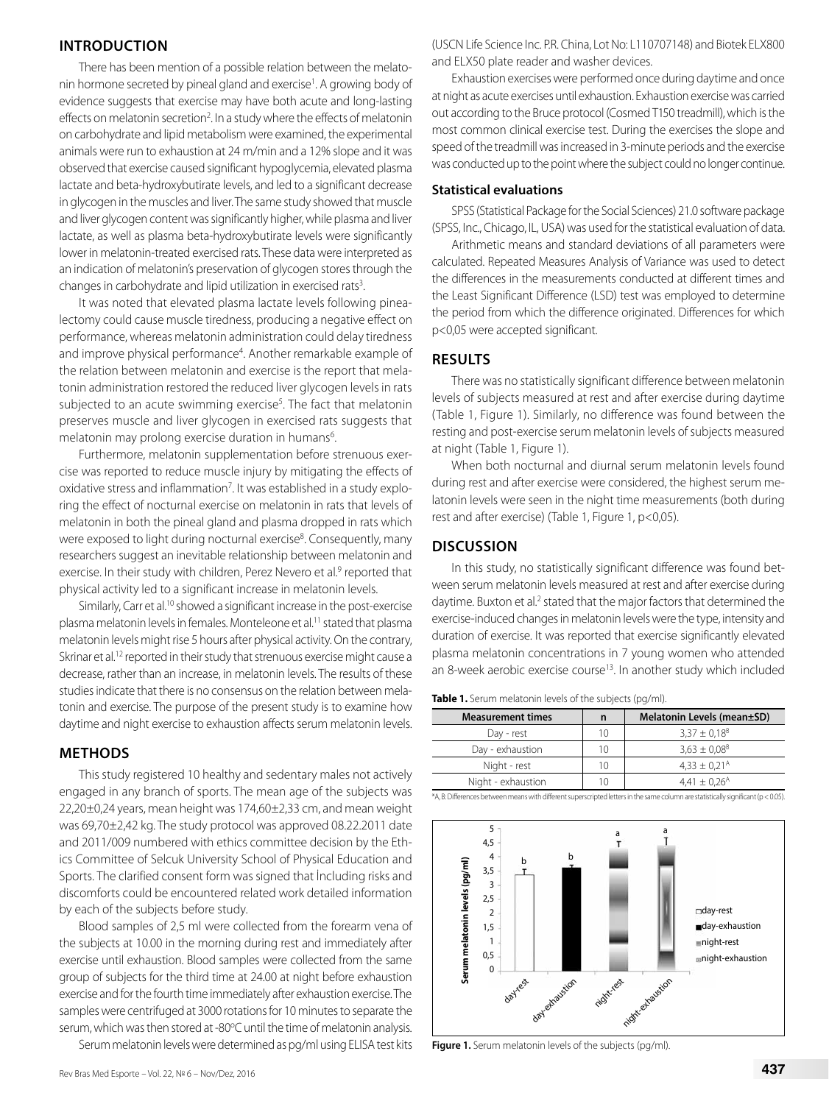## **INTRODUCTION**

There has been mention of a possible relation between the melatonin hormone secreted by pineal gland and exercise<sup>1</sup>. A growing body of evidence suggests that exercise may have both acute and long-lasting effects on melatonin secretion<sup>2</sup>. In a study where the effects of melatonin on carbohydrate and lipid metabolism were examined, the experimental animals were run to exhaustion at 24 m/min and a 12% slope and it was observed that exercise caused significant hypoglycemia, elevated plasma lactate and beta-hydroxybutirate levels, and led to a significant decrease in glycogen in the muscles and liver. The same study showed that muscle and liver glycogen content was significantly higher, while plasma and liver lactate, as well as plasma beta-hydroxybutirate levels were significantly lower in melatonin-treated exercised rats. These data were interpreted as an indication of melatonin's preservation of glycogen stores through the changes in carbohydrate and lipid utilization in exercised rats<sup>3</sup>. .

It was noted that elevated plasma lactate levels following pinealectomy could cause muscle tiredness, producing a negative effect on performance, whereas melatonin administration could delay tiredness and improve physical performance<sup>4</sup>. Another remarkable example of the relation between melatonin and exercise is the report that melatonin administration restored the reduced liver glycogen levels in rats subjected to an acute swimming exercise<sup>5</sup>. The fact that melatonin preserves muscle and liver glycogen in exercised rats suggests that melatonin may prolong exercise duration in humans<sup>6</sup>.

Furthermore, melatonin supplementation before strenuous exercise was reported to reduce muscle injury by mitigating the effects of oxidative stress and inflammation<sup>7</sup>. It was established in a study exploring the effect of nocturnal exercise on melatonin in rats that levels of melatonin in both the pineal gland and plasma dropped in rats which were exposed to light during nocturnal exercise<sup>8</sup>. Consequently, many researchers suggest an inevitable relationship between melatonin and exercise. In their study with children, Perez Nevero et al.<sup>9</sup> reported that physical activity led to a significant increase in melatonin levels.

Similarly, Carr et al.<sup>10</sup> showed a significant increase in the post-exercise plasma melatonin levels in females. Monteleone et al.11 stated that plasma melatonin levels might rise 5 hours after physical activity. On the contrary, Skrinar et al.<sup>12</sup> reported in their study that strenuous exercise might cause a decrease, rather than an increase, in melatonin levels. The results of these studies indicate that there is no consensus on the relation between melatonin and exercise. The purpose of the present study is to examine how daytime and night exercise to exhaustion affects serum melatonin levels.

#### **METHODS**

This study registered 10 healthy and sedentary males not actively engaged in any branch of sports. The mean age of the subjects was 22,20±0,24 years, mean height was 174,60±2,33 cm, and mean weight was 69,70±2,42 kg. The study protocol was approved 08.22.2011 date and 2011/009 numbered with ethics committee decision by the Ethics Committee of Selcuk University School of Physical Education and Sports. The clarified consent form was signed that İncluding risks and discomforts could be encountered related work detailed information by each of the subjects before study.

Blood samples of 2,5 ml were collected from the forearm vena of the subjects at 10.00 in the morning during rest and immediately after exercise until exhaustion. Blood samples were collected from the same group of subjects for the third time at 24.00 at night before exhaustion exercise and for the fourth time immediately after exhaustion exercise. The samples were centrifuged at 3000 rotations for 10 minutes to separate the serum, which was then stored at -80°C until the time of melatonin analysis.

Serum melatonin levels were determined as pg/ml using ELISA test kits

Rev Bras Med Esporte – Vol. 22,  $N^{\varrho}$  6 – Nov/Dez, 2016 **437** 

(USCN Life Science Inc. P.R. China, Lot No: L110707148) and Biotek ELX800 and ELX50 plate reader and washer devices.

Exhaustion exercises were performed once during daytime and once at night as acute exercises until exhaustion. Exhaustion exercise was carried out according to the Bruce protocol (Cosmed T150 treadmill), which is the most common clinical exercise test. During the exercises the slope and speed of the treadmill was increased in 3-minute periods and the exercise was conducted up to the point where the subject could no longer continue.

#### **Statistical evaluations**

SPSS (Statistical Package for the Social Sciences) 21.0 software package (SPSS, Inc., Chicago, IL, USA) was used for the statistical evaluation of data.

Arithmetic means and standard deviations of all parameters were calculated. Repeated Measures Analysis of Variance was used to detect the differences in the measurements conducted at different times and the Least Significant Difference (LSD) test was employed to determine the period from which the difference originated. Differences for which p<0,05 were accepted significant.

### **RESULTS**

There was no statistically significant difference between melatonin levels of subjects measured at rest and after exercise during daytime (Table 1, Figure 1). Similarly, no difference was found between the resting and post-exercise serum melatonin levels of subjects measured at night (Table 1, Figure 1).

When both nocturnal and diurnal serum melatonin levels found during rest and after exercise were considered, the highest serum melatonin levels were seen in the night time measurements (both during rest and after exercise) (Table 1, Figure 1, p<0,05).

#### **DISCUSSION**

In this study, no statistically significant difference was found between serum melatonin levels measured at rest and after exercise during daytime. Buxton et al.<sup>2</sup> stated that the major factors that determined the exercise-induced changes in melatonin levels were the type, intensity and duration of exercise. It was reported that exercise significantly elevated plasma melatonin concentrations in 7 young women who attended an 8-week aerobic exercise course<sup>13</sup>. In another study which included

**Table 1.** Serum melatonin levels of the subjects (pg/ml).

| <b>Measurement times</b> | n  | Melatonin Levels (mean±SD)   |
|--------------------------|----|------------------------------|
| Day - rest               | 10 | $3,37 \pm 0,18^{8}$          |
| Day - exhaustion         | 10 | $3.63 \pm 0.08$ <sup>B</sup> |
| Night - rest             | 10 | $4,33 \pm 0,21^{\text{A}}$   |
| Night - exhaustion       | 10 | $4,41 \pm 0,26$ <sup>A</sup> |

\*A, B: Differences between means with different superscripted letters in the same column are statistically significant (p < 0.05).